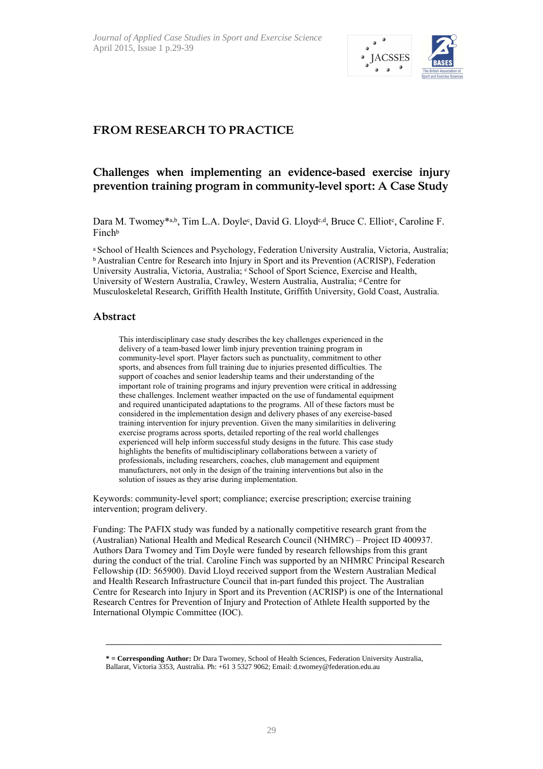

# **FROM RESEARCH TO PRACTICE**

# **Challenges when implementing an evidence-based exercise injury prevention training program in community-level sport: A Case Study**

Dara M. Twomey\*a,b, Tim L.A. Doyle<sup>c</sup>, David G. Lloyd<sup>c,d</sup>, Bruce C. Elliot<sup>c</sup>, Caroline F. Finch<sup>b</sup>

a School of Health Sciences and Psychology, Federation University Australia, Victoria, Australia; <sup>b</sup> Australian Centre for Research into Injury in Sport and its Prevention (ACRISP), Federation University Australia, Victoria, Australia; c School of Sport Science, Exercise and Health, University of Western Australia, Crawley, Western Australia, Australia; d Centre for Musculoskeletal Research, Griffith Health Institute, Griffith University, Gold Coast, Australia.

#### **Abstract**

This interdisciplinary case study describes the key challenges experienced in the delivery of a team-based lower limb injury prevention training program in community-level sport. Player factors such as punctuality, commitment to other sports, and absences from full training due to injuries presented difficulties. The support of coaches and senior leadership teams and their understanding of the important role of training programs and injury prevention were critical in addressing these challenges. Inclement weather impacted on the use of fundamental equipment and required unanticipated adaptations to the programs. All of these factors must be considered in the implementation design and delivery phases of any exercise-based training intervention for injury prevention. Given the many similarities in delivering exercise programs across sports, detailed reporting of the real world challenges experienced will help inform successful study designs in the future. This case study highlights the benefits of multidisciplinary collaborations between a variety of professionals, including researchers, coaches, club management and equipment manufacturers, not only in the design of the training interventions but also in the solution of issues as they arise during implementation.

Keywords: community-level sport; compliance; exercise prescription; exercise training intervention; program delivery.

Funding: The PAFIX study was funded by a nationally competitive research grant from the (Australian) National Health and Medical Research Council (NHMRC) – Project ID 400937. Authors Dara Twomey and Tim Doyle were funded by research fellowships from this grant during the conduct of the trial. Caroline Finch was supported by an NHMRC Principal Research Fellowship (ID: 565900). David Lloyd received support from the Western Australian Medical and Health Research Infrastructure Council that in-part funded this project. The Australian Centre for Research into Injury in Sport and its Prevention (ACRISP) is one of the International Research Centres for Prevention of Injury and Protection of Athlete Health supported by the International Olympic Committee (IOC).

**\_\_\_\_\_\_\_\_\_\_\_\_\_\_\_\_\_\_\_\_\_\_\_\_\_\_\_\_\_\_\_\_\_\_\_\_\_\_\_\_\_\_\_\_\_\_\_\_\_\_\_\_\_\_\_\_\_\_\_\_\_\_\_\_\_\_\_\_\_\_\_\_\_\_\_\_\_\_\_\_\_\_\_\_\_\_\_\_\_\_\_\_** 

**<sup>\* =</sup> Corresponding Author:** Dr Dara Twomey, School of Health Sciences, Federation University Australia, Ballarat, Victoria 3353, Australia. Ph: +61 3 5327 9062; Email: d.twomey@federation.edu.au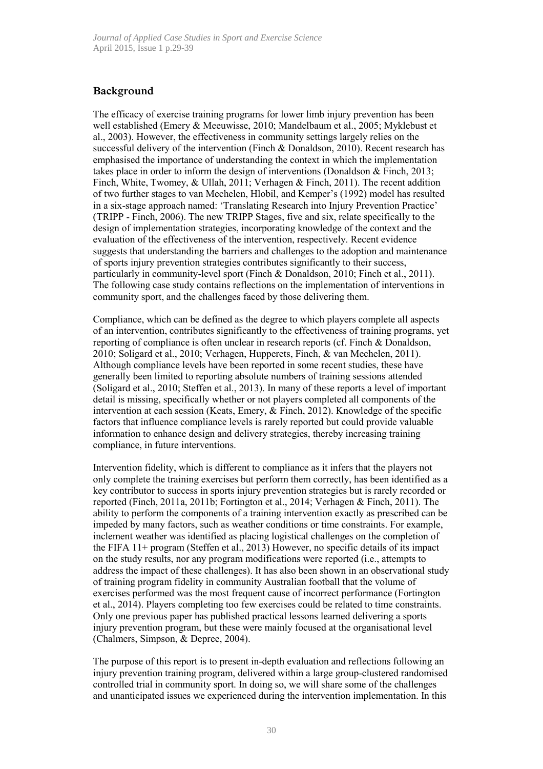# **Background**

The efficacy of exercise training programs for lower limb injury prevention has been well established (Emery & Meeuwisse, 2010; Mandelbaum et al., 2005; Myklebust et al., 2003). However, the effectiveness in community settings largely relies on the successful delivery of the intervention (Finch & Donaldson, 2010). Recent research has emphasised the importance of understanding the context in which the implementation takes place in order to inform the design of interventions (Donaldson & Finch, 2013; Finch, White, Twomey, & Ullah, 2011; Verhagen & Finch, 2011). The recent addition of two further stages to van Mechelen, Hlobil, and Kemper's (1992) model has resulted in a six-stage approach named: 'Translating Research into Injury Prevention Practice' (TRIPP - Finch, 2006). The new TRIPP Stages, five and six, relate specifically to the design of implementation strategies, incorporating knowledge of the context and the evaluation of the effectiveness of the intervention, respectively. Recent evidence suggests that understanding the barriers and challenges to the adoption and maintenance of sports injury prevention strategies contributes significantly to their success, particularly in community-level sport (Finch & Donaldson, 2010; Finch et al., 2011). The following case study contains reflections on the implementation of interventions in community sport, and the challenges faced by those delivering them.

Compliance, which can be defined as the degree to which players complete all aspects of an intervention, contributes significantly to the effectiveness of training programs, yet reporting of compliance is often unclear in research reports (cf. Finch & Donaldson, 2010; Soligard et al., 2010; Verhagen, Hupperets, Finch, & van Mechelen, 2011). Although compliance levels have been reported in some recent studies, these have generally been limited to reporting absolute numbers of training sessions attended (Soligard et al., 2010; Steffen et al., 2013). In many of these reports a level of important detail is missing, specifically whether or not players completed all components of the intervention at each session (Keats, Emery, & Finch, 2012). Knowledge of the specific factors that influence compliance levels is rarely reported but could provide valuable information to enhance design and delivery strategies, thereby increasing training compliance, in future interventions.

Intervention fidelity, which is different to compliance as it infers that the players not only complete the training exercises but perform them correctly, has been identified as a key contributor to success in sports injury prevention strategies but is rarely recorded or reported (Finch, 2011a, 2011b; Fortington et al., 2014; Verhagen & Finch, 2011). The ability to perform the components of a training intervention exactly as prescribed can be impeded by many factors, such as weather conditions or time constraints. For example, inclement weather was identified as placing logistical challenges on the completion of the FIFA 11+ program (Steffen et al., 2013) However, no specific details of its impact on the study results, nor any program modifications were reported (i.e., attempts to address the impact of these challenges). It has also been shown in an observational study of training program fidelity in community Australian football that the volume of exercises performed was the most frequent cause of incorrect performance (Fortington et al., 2014). Players completing too few exercises could be related to time constraints. Only one previous paper has published practical lessons learned delivering a sports injury prevention program, but these were mainly focused at the organisational level (Chalmers, Simpson, & Depree, 2004).

The purpose of this report is to present in-depth evaluation and reflections following an injury prevention training program, delivered within a large group-clustered randomised controlled trial in community sport. In doing so, we will share some of the challenges and unanticipated issues we experienced during the intervention implementation. In this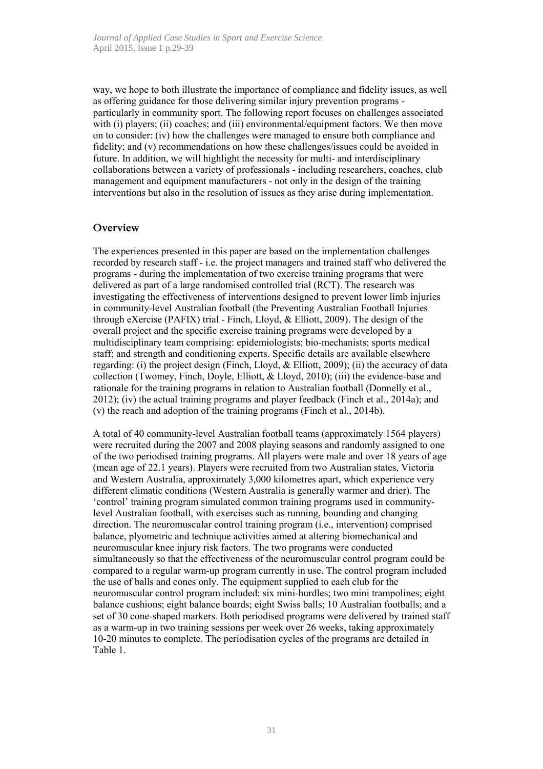way, we hope to both illustrate the importance of compliance and fidelity issues, as well as offering guidance for those delivering similar injury prevention programs particularly in community sport. The following report focuses on challenges associated with (i) players; (ii) coaches; and (iii) environmental/equipment factors. We then move on to consider: (iv) how the challenges were managed to ensure both compliance and fidelity; and (v) recommendations on how these challenges/issues could be avoided in future. In addition, we will highlight the necessity for multi- and interdisciplinary collaborations between a variety of professionals - including researchers, coaches, club management and equipment manufacturers - not only in the design of the training interventions but also in the resolution of issues as they arise during implementation.

#### **Overview**

The experiences presented in this paper are based on the implementation challenges recorded by research staff - i.e. the project managers and trained staff who delivered the programs - during the implementation of two exercise training programs that were delivered as part of a large randomised controlled trial (RCT). The research was investigating the effectiveness of interventions designed to prevent lower limb injuries in community-level Australian football (the Preventing Australian Football Injuries through eXercise (PAFIX) trial - Finch, Lloyd, & Elliott, 2009). The design of the overall project and the specific exercise training programs were developed by a multidisciplinary team comprising: epidemiologists; bio-mechanists; sports medical staff; and strength and conditioning experts. Specific details are available elsewhere regarding: (i) the project design (Finch, Lloyd,  $\&$  Elliott, 2009); (ii) the accuracy of data collection (Twomey, Finch, Doyle, Elliott, & Lloyd, 2010); (iii) the evidence-base and rationale for the training programs in relation to Australian football (Donnelly et al., 2012); (iv) the actual training programs and player feedback (Finch et al., 2014a); and (v) the reach and adoption of the training programs (Finch et al., 2014b).

A total of 40 community-level Australian football teams (approximately 1564 players) were recruited during the 2007 and 2008 playing seasons and randomly assigned to one of the two periodised training programs. All players were male and over 18 years of age (mean age of 22.1 years). Players were recruited from two Australian states, Victoria and Western Australia, approximately 3,000 kilometres apart, which experience very different climatic conditions (Western Australia is generally warmer and drier). The 'control' training program simulated common training programs used in communitylevel Australian football, with exercises such as running, bounding and changing direction. The neuromuscular control training program (i.e., intervention) comprised balance, plyometric and technique activities aimed at altering biomechanical and neuromuscular knee injury risk factors. The two programs were conducted simultaneously so that the effectiveness of the neuromuscular control program could be compared to a regular warm-up program currently in use. The control program included the use of balls and cones only. The equipment supplied to each club for the neuromuscular control program included: six mini-hurdles; two mini trampolines; eight balance cushions; eight balance boards; eight Swiss balls; 10 Australian footballs; and a set of 30 cone-shaped markers. Both periodised programs were delivered by trained staff as a warm-up in two training sessions per week over 26 weeks, taking approximately 10-20 minutes to complete. The periodisation cycles of the programs are detailed in Table 1.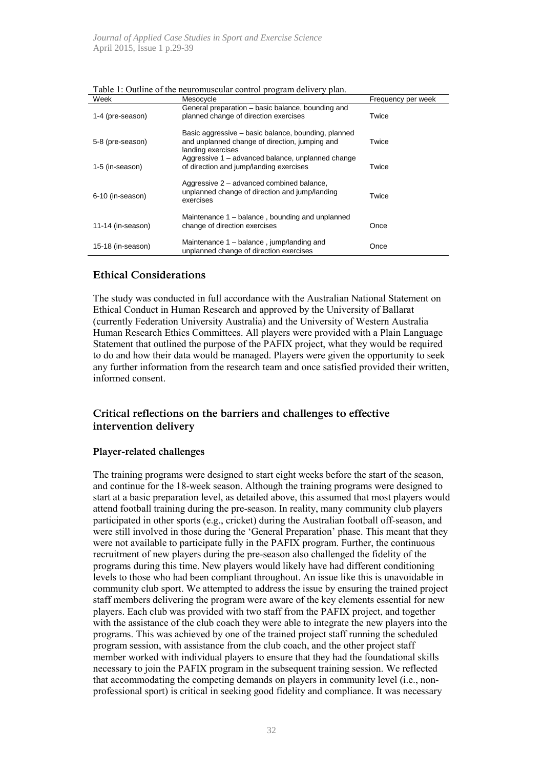| Week              | Mesocycle                                                                                                                  | Frequency per week |
|-------------------|----------------------------------------------------------------------------------------------------------------------------|--------------------|
| 1-4 (pre-season)  | General preparation – basic balance, bounding and<br>planned change of direction exercises                                 | Twice              |
| 5-8 (pre-season)  | Basic aggressive – basic balance, bounding, planned<br>and unplanned change of direction, jumping and<br>landing exercises | Twice              |
| 1-5 (in-season)   | Aggressive 1 – advanced balance, unplanned change<br>of direction and jump/landing exercises                               | Twice              |
| 6-10 (in-season)  | Aggressive 2 – advanced combined balance,<br>unplanned change of direction and jump/landing<br>exercises                   | Twice              |
| 11-14 (in-season) | Maintenance 1 – balance, bounding and unplanned<br>change of direction exercises                                           | Once               |
| 15-18 (in-season) | Maintenance 1 – balance, jump/landing and<br>unplanned change of direction exercises                                       | Once               |

Table 1: Outline of the neuromuscular control program delivery plan.

## **Ethical Considerations**

The study was conducted in full accordance with the Australian National Statement on Ethical Conduct in Human Research and approved by the University of Ballarat (currently Federation University Australia) and the University of Western Australia Human Research Ethics Committees. All players were provided with a Plain Language Statement that outlined the purpose of the PAFIX project, what they would be required to do and how their data would be managed. Players were given the opportunity to seek any further information from the research team and once satisfied provided their written, informed consent.

# **Critical reflections on the barriers and challenges to effective intervention delivery**

### **Player-related challenges**

The training programs were designed to start eight weeks before the start of the season, and continue for the 18-week season. Although the training programs were designed to start at a basic preparation level, as detailed above, this assumed that most players would attend football training during the pre-season. In reality, many community club players participated in other sports (e.g., cricket) during the Australian football off-season, and were still involved in those during the 'General Preparation' phase. This meant that they were not available to participate fully in the PAFIX program. Further, the continuous recruitment of new players during the pre-season also challenged the fidelity of the programs during this time. New players would likely have had different conditioning levels to those who had been compliant throughout. An issue like this is unavoidable in community club sport. We attempted to address the issue by ensuring the trained project staff members delivering the program were aware of the key elements essential for new players. Each club was provided with two staff from the PAFIX project, and together with the assistance of the club coach they were able to integrate the new players into the programs. This was achieved by one of the trained project staff running the scheduled program session, with assistance from the club coach, and the other project staff member worked with individual players to ensure that they had the foundational skills necessary to join the PAFIX program in the subsequent training session. We reflected that accommodating the competing demands on players in community level (i.e., nonprofessional sport) is critical in seeking good fidelity and compliance. It was necessary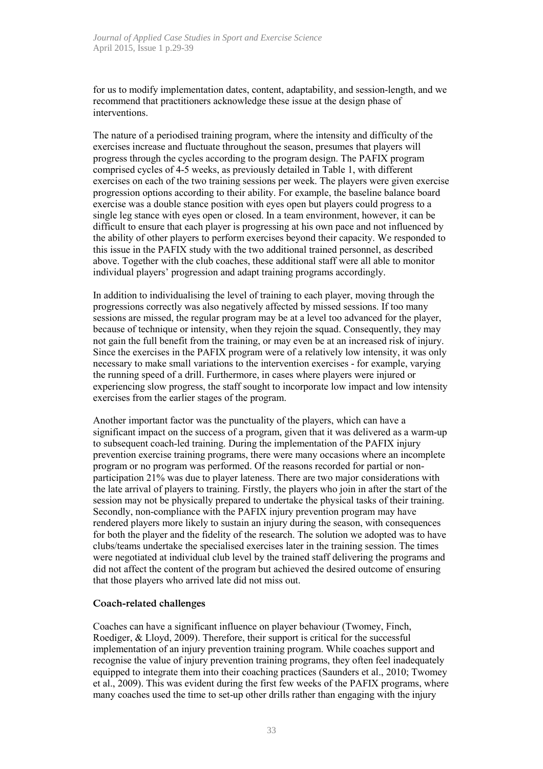for us to modify implementation dates, content, adaptability, and session-length, and we recommend that practitioners acknowledge these issue at the design phase of interventions.

The nature of a periodised training program, where the intensity and difficulty of the exercises increase and fluctuate throughout the season, presumes that players will progress through the cycles according to the program design. The PAFIX program comprised cycles of 4-5 weeks, as previously detailed in Table 1, with different exercises on each of the two training sessions per week. The players were given exercise progression options according to their ability. For example, the baseline balance board exercise was a double stance position with eyes open but players could progress to a single leg stance with eyes open or closed. In a team environment, however, it can be difficult to ensure that each player is progressing at his own pace and not influenced by the ability of other players to perform exercises beyond their capacity. We responded to this issue in the PAFIX study with the two additional trained personnel, as described above. Together with the club coaches, these additional staff were all able to monitor individual players' progression and adapt training programs accordingly.

In addition to individualising the level of training to each player, moving through the progressions correctly was also negatively affected by missed sessions. If too many sessions are missed, the regular program may be at a level too advanced for the player, because of technique or intensity, when they rejoin the squad. Consequently, they may not gain the full benefit from the training, or may even be at an increased risk of injury. Since the exercises in the PAFIX program were of a relatively low intensity, it was only necessary to make small variations to the intervention exercises - for example, varying the running speed of a drill. Furthermore, in cases where players were injured or experiencing slow progress, the staff sought to incorporate low impact and low intensity exercises from the earlier stages of the program.

Another important factor was the punctuality of the players, which can have a significant impact on the success of a program, given that it was delivered as a warm-up to subsequent coach-led training. During the implementation of the PAFIX injury prevention exercise training programs, there were many occasions where an incomplete program or no program was performed. Of the reasons recorded for partial or nonparticipation 21% was due to player lateness. There are two major considerations with the late arrival of players to training. Firstly, the players who join in after the start of the session may not be physically prepared to undertake the physical tasks of their training. Secondly, non-compliance with the PAFIX injury prevention program may have rendered players more likely to sustain an injury during the season, with consequences for both the player and the fidelity of the research. The solution we adopted was to have clubs/teams undertake the specialised exercises later in the training session. The times were negotiated at individual club level by the trained staff delivering the programs and did not affect the content of the program but achieved the desired outcome of ensuring that those players who arrived late did not miss out.

#### **Coach-related challenges**

Coaches can have a significant influence on player behaviour (Twomey, Finch, Roediger, & Lloyd, 2009). Therefore, their support is critical for the successful implementation of an injury prevention training program. While coaches support and recognise the value of injury prevention training programs, they often feel inadequately equipped to integrate them into their coaching practices (Saunders et al., 2010; Twomey et al., 2009). This was evident during the first few weeks of the PAFIX programs, where many coaches used the time to set-up other drills rather than engaging with the injury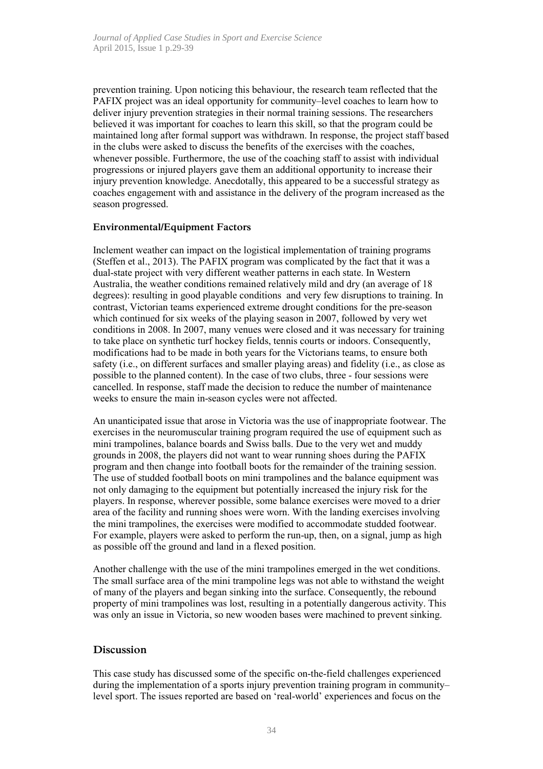prevention training. Upon noticing this behaviour, the research team reflected that the PAFIX project was an ideal opportunity for community–level coaches to learn how to deliver injury prevention strategies in their normal training sessions. The researchers believed it was important for coaches to learn this skill, so that the program could be maintained long after formal support was withdrawn. In response, the project staff based in the clubs were asked to discuss the benefits of the exercises with the coaches, whenever possible. Furthermore, the use of the coaching staff to assist with individual progressions or injured players gave them an additional opportunity to increase their injury prevention knowledge. Anecdotally, this appeared to be a successful strategy as coaches engagement with and assistance in the delivery of the program increased as the season progressed.

#### **Environmental/Equipment Factors**

Inclement weather can impact on the logistical implementation of training programs (Steffen et al., 2013). The PAFIX program was complicated by the fact that it was a dual-state project with very different weather patterns in each state. In Western Australia, the weather conditions remained relatively mild and dry (an average of 18 degrees): resulting in good playable conditions and very few disruptions to training. In contrast, Victorian teams experienced extreme drought conditions for the pre-season which continued for six weeks of the playing season in 2007, followed by very wet conditions in 2008. In 2007, many venues were closed and it was necessary for training to take place on synthetic turf hockey fields, tennis courts or indoors. Consequently, modifications had to be made in both years for the Victorians teams, to ensure both safety (i.e., on different surfaces and smaller playing areas) and fidelity (i.e., as close as possible to the planned content). In the case of two clubs, three - four sessions were cancelled. In response, staff made the decision to reduce the number of maintenance weeks to ensure the main in-season cycles were not affected.

An unanticipated issue that arose in Victoria was the use of inappropriate footwear. The exercises in the neuromuscular training program required the use of equipment such as mini trampolines, balance boards and Swiss balls. Due to the very wet and muddy grounds in 2008, the players did not want to wear running shoes during the PAFIX program and then change into football boots for the remainder of the training session. The use of studded football boots on mini trampolines and the balance equipment was not only damaging to the equipment but potentially increased the injury risk for the players. In response, wherever possible, some balance exercises were moved to a drier area of the facility and running shoes were worn. With the landing exercises involving the mini trampolines, the exercises were modified to accommodate studded footwear. For example, players were asked to perform the run-up, then, on a signal, jump as high as possible off the ground and land in a flexed position.

Another challenge with the use of the mini trampolines emerged in the wet conditions. The small surface area of the mini trampoline legs was not able to withstand the weight of many of the players and began sinking into the surface. Consequently, the rebound property of mini trampolines was lost, resulting in a potentially dangerous activity. This was only an issue in Victoria, so new wooden bases were machined to prevent sinking.

### **Discussion**

This case study has discussed some of the specific on-the-field challenges experienced during the implementation of a sports injury prevention training program in community– level sport. The issues reported are based on 'real-world' experiences and focus on the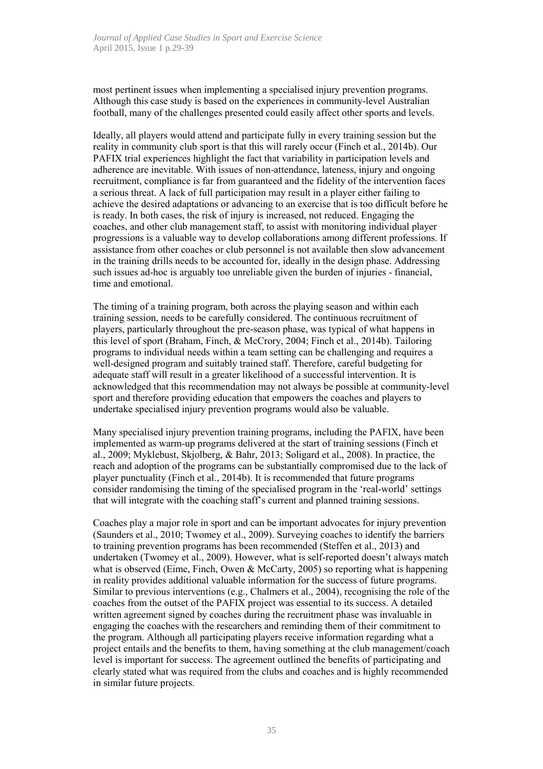most pertinent issues when implementing a specialised injury prevention programs. Although this case study is based on the experiences in community-level Australian football, many of the challenges presented could easily affect other sports and levels.

Ideally, all players would attend and participate fully in every training session but the reality in community club sport is that this will rarely occur (Finch et al., 2014b). Our PAFIX trial experiences highlight the fact that variability in participation levels and adherence are inevitable. With issues of non-attendance, lateness, injury and ongoing recruitment, compliance is far from guaranteed and the fidelity of the intervention faces a serious threat. A lack of full participation may result in a player either failing to achieve the desired adaptations or advancing to an exercise that is too difficult before he is ready. In both cases, the risk of injury is increased, not reduced. Engaging the coaches, and other club management staff, to assist with monitoring individual player progressions is a valuable way to develop collaborations among different professions. If assistance from other coaches or club personnel is not available then slow advancement in the training drills needs to be accounted for, ideally in the design phase. Addressing such issues ad-hoc is arguably too unreliable given the burden of injuries - financial, time and emotional.

The timing of a training program, both across the playing season and within each training session, needs to be carefully considered. The continuous recruitment of players, particularly throughout the pre-season phase, was typical of what happens in this level of sport (Braham, Finch, & McCrory, 2004; Finch et al., 2014b). Tailoring programs to individual needs within a team setting can be challenging and requires a well-designed program and suitably trained staff. Therefore, careful budgeting for adequate staff will result in a greater likelihood of a successful intervention. It is acknowledged that this recommendation may not always be possible at community-level sport and therefore providing education that empowers the coaches and players to undertake specialised injury prevention programs would also be valuable.

Many specialised injury prevention training programs, including the PAFIX, have been implemented as warm-up programs delivered at the start of training sessions (Finch et al., 2009; Myklebust, Skjolberg, & Bahr, 2013; Soligard et al., 2008). In practice, the reach and adoption of the programs can be substantially compromised due to the lack of player punctuality (Finch et al., 2014b). It is recommended that future programs consider randomising the timing of the specialised program in the 'real-world' settings that will integrate with the coaching staff's current and planned training sessions.

Coaches play a major role in sport and can be important advocates for injury prevention (Saunders et al., 2010; Twomey et al., 2009). Surveying coaches to identify the barriers to training prevention programs has been recommended (Steffen et al., 2013) and undertaken (Twomey et al., 2009). However, what is self-reported doesn't always match what is observed (Eime, Finch, Owen & McCarty, 2005) so reporting what is happening in reality provides additional valuable information for the success of future programs. Similar to previous interventions (e.g., Chalmers et al., 2004), recognising the role of the coaches from the outset of the PAFIX project was essential to its success. A detailed written agreement signed by coaches during the recruitment phase was invaluable in engaging the coaches with the researchers and reminding them of their commitment to the program. Although all participating players receive information regarding what a project entails and the benefits to them, having something at the club management/coach level is important for success. The agreement outlined the benefits of participating and clearly stated what was required from the clubs and coaches and is highly recommended in similar future projects.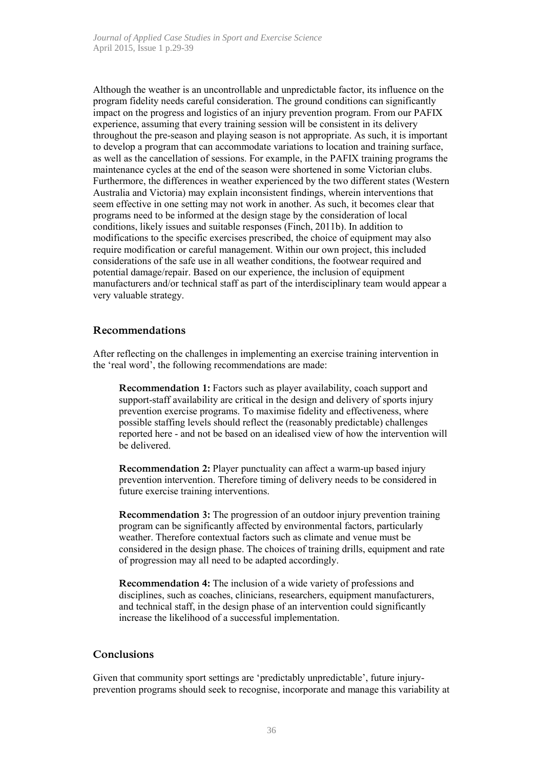Although the weather is an uncontrollable and unpredictable factor, its influence on the program fidelity needs careful consideration. The ground conditions can significantly impact on the progress and logistics of an injury prevention program. From our PAFIX experience, assuming that every training session will be consistent in its delivery throughout the pre-season and playing season is not appropriate. As such, it is important to develop a program that can accommodate variations to location and training surface, as well as the cancellation of sessions. For example, in the PAFIX training programs the maintenance cycles at the end of the season were shortened in some Victorian clubs. Furthermore, the differences in weather experienced by the two different states (Western Australia and Victoria) may explain inconsistent findings, wherein interventions that seem effective in one setting may not work in another. As such, it becomes clear that programs need to be informed at the design stage by the consideration of local conditions, likely issues and suitable responses (Finch, 2011b). In addition to modifications to the specific exercises prescribed, the choice of equipment may also require modification or careful management. Within our own project, this included considerations of the safe use in all weather conditions, the footwear required and potential damage/repair. Based on our experience, the inclusion of equipment manufacturers and/or technical staff as part of the interdisciplinary team would appear a very valuable strategy.

### **Recommendations**

After reflecting on the challenges in implementing an exercise training intervention in the 'real word', the following recommendations are made:

**Recommendation 1:** Factors such as player availability, coach support and support-staff availability are critical in the design and delivery of sports injury prevention exercise programs. To maximise fidelity and effectiveness, where possible staffing levels should reflect the (reasonably predictable) challenges reported here - and not be based on an idealised view of how the intervention will be delivered.

**Recommendation 2:** Player punctuality can affect a warm-up based injury prevention intervention. Therefore timing of delivery needs to be considered in future exercise training interventions.

**Recommendation 3:** The progression of an outdoor injury prevention training program can be significantly affected by environmental factors, particularly weather. Therefore contextual factors such as climate and venue must be considered in the design phase. The choices of training drills, equipment and rate of progression may all need to be adapted accordingly.

**Recommendation 4:** The inclusion of a wide variety of professions and disciplines, such as coaches, clinicians, researchers, equipment manufacturers, and technical staff, in the design phase of an intervention could significantly increase the likelihood of a successful implementation.

### **Conclusions**

Given that community sport settings are 'predictably unpredictable', future injuryprevention programs should seek to recognise, incorporate and manage this variability at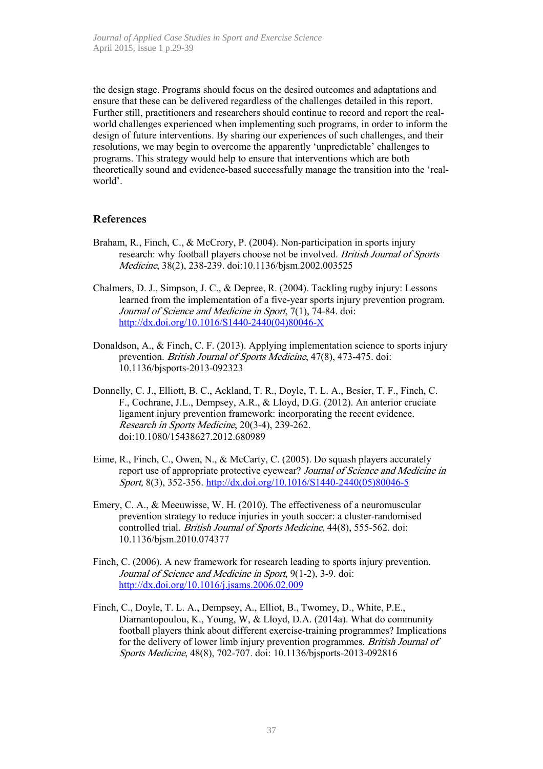the design stage. Programs should focus on the desired outcomes and adaptations and ensure that these can be delivered regardless of the challenges detailed in this report. Further still, practitioners and researchers should continue to record and report the realworld challenges experienced when implementing such programs, in order to inform the design of future interventions. By sharing our experiences of such challenges, and their resolutions, we may begin to overcome the apparently 'unpredictable' challenges to programs. This strategy would help to ensure that interventions which are both theoretically sound and evidence-based successfully manage the transition into the 'realworld'.

### **References**

- Braham, R., Finch, C., & McCrory, P. (2004). Non-participation in sports injury research: why football players choose not be involved. British Journal of Sports Medicine, 38(2), 238-239. doi:10.1136/bjsm.2002.003525
- Chalmers, D. J., Simpson, J. C., & Depree, R. (2004). Tackling rugby injury: Lessons learned from the implementation of a five-year sports injury prevention program. Journal of Science and Medicine in Sport, 7(1), 74-84. doi: http://dx.doi.org/10.1016/S1440-2440(04)80046-X
- Donaldson, A., & Finch, C. F. (2013). Applying implementation science to sports injury prevention. British Journal of Sports Medicine, 47(8), 473-475. doi: 10.1136/bjsports-2013-092323
- Donnelly, C. J., Elliott, B. C., Ackland, T. R., Doyle, T. L. A., Besier, T. F., Finch, C. F., Cochrane, J.L., Dempsey, A.R., & Lloyd, D.G. (2012). An anterior cruciate ligament injury prevention framework: incorporating the recent evidence. Research in Sports Medicine, 20(3-4), 239-262. doi:10.1080/15438627.2012.680989
- Eime, R., Finch, C., Owen, N., & McCarty, C. (2005). Do squash players accurately report use of appropriate protective eyewear? Journal of Science and Medicine in Sport, 8(3), 352-356. http://dx.doi.org/10.1016/S1440-2440(05)80046-5
- Emery, C. A., & Meeuwisse, W. H. (2010). The effectiveness of a neuromuscular prevention strategy to reduce injuries in youth soccer: a cluster-randomised controlled trial. British Journal of Sports Medicine, 44(8), 555-562. doi: 10.1136/bjsm.2010.074377
- Finch, C. (2006). A new framework for research leading to sports injury prevention. Journal of Science and Medicine in Sport, 9(1-2), 3-9. doi: http://dx.doi.org/10.1016/j.jsams.2006.02.009
- Finch, C., Doyle, T. L. A., Dempsey, A., Elliot, B., Twomey, D., White, P.E., Diamantopoulou, K., Young, W, & Lloyd, D.A. (2014a). What do community football players think about different exercise-training programmes? Implications for the delivery of lower limb injury prevention programmes. British Journal of Sports Medicine, 48(8), 702-707. doi: 10.1136/bjsports-2013-092816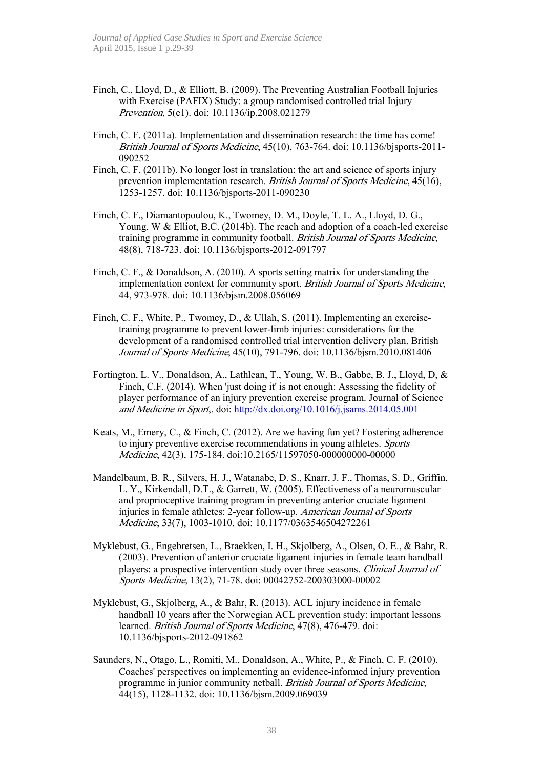- Finch, C., Lloyd, D., & Elliott, B. (2009). The Preventing Australian Football Injuries with Exercise (PAFIX) Study: a group randomised controlled trial Injury Prevention, 5(e1). doi: 10.1136/ip.2008.021279
- Finch, C. F. (2011a). Implementation and dissemination research: the time has come! British Journal of Sports Medicine, 45(10), 763-764. doi: 10.1136/bjsports-2011- 090252
- Finch, C. F. (2011b). No longer lost in translation: the art and science of sports injury prevention implementation research. British Journal of Sports Medicine, 45(16), 1253-1257. doi: 10.1136/bjsports-2011-090230
- Finch, C. F., Diamantopoulou, K., Twomey, D. M., Doyle, T. L. A., Lloyd, D. G., Young, W & Elliot, B.C. (2014b). The reach and adoption of a coach-led exercise training programme in community football. British Journal of Sports Medicine, 48(8), 718-723. doi: 10.1136/bjsports-2012-091797
- Finch, C. F., & Donaldson, A. (2010). A sports setting matrix for understanding the implementation context for community sport. British Journal of Sports Medicine, 44, 973-978. doi: 10.1136/bjsm.2008.056069
- Finch, C. F., White, P., Twomey, D., & Ullah, S. (2011). Implementing an exercisetraining programme to prevent lower-limb injuries: considerations for the development of a randomised controlled trial intervention delivery plan. British Journal of Sports Medicine, 45(10), 791-796. doi: 10.1136/bjsm.2010.081406
- Fortington, L. V., Donaldson, A., Lathlean, T., Young, W. B., Gabbe, B. J., Lloyd, D, & Finch, C.F. (2014). When 'just doing it' is not enough: Assessing the fidelity of player performance of an injury prevention exercise program. Journal of Science and Medicine in Sport,. doi: http://dx.doi.org/10.1016/j.jsams.2014.05.001
- Keats, M., Emery, C., & Finch, C. (2012). Are we having fun yet? Fostering adherence to injury preventive exercise recommendations in young athletes. Sports Medicine, 42(3), 175-184. doi:10.2165/11597050-000000000-00000
- Mandelbaum, B. R., Silvers, H. J., Watanabe, D. S., Knarr, J. F., Thomas, S. D., Griffin, L. Y., Kirkendall, D.T., & Garrett, W. (2005). Effectiveness of a neuromuscular and proprioceptive training program in preventing anterior cruciate ligament injuries in female athletes: 2-year follow-up. American Journal of Sports Medicine, 33(7), 1003-1010. doi: 10.1177/0363546504272261
- Myklebust, G., Engebretsen, L., Braekken, I. H., Skjolberg, A., Olsen, O. E., & Bahr, R. (2003). Prevention of anterior cruciate ligament injuries in female team handball players: a prospective intervention study over three seasons. Clinical Journal of Sports Medicine, 13(2), 71-78. doi: 00042752-200303000-00002
- Myklebust, G., Skjolberg, A., & Bahr, R. (2013). ACL injury incidence in female handball 10 years after the Norwegian ACL prevention study: important lessons learned. British Journal of Sports Medicine, 47(8), 476-479. doi: 10.1136/bjsports-2012-091862
- Saunders, N., Otago, L., Romiti, M., Donaldson, A., White, P., & Finch, C. F. (2010). Coaches' perspectives on implementing an evidence-informed injury prevention programme in junior community netball. British Journal of Sports Medicine, 44(15), 1128-1132. doi: 10.1136/bjsm.2009.069039